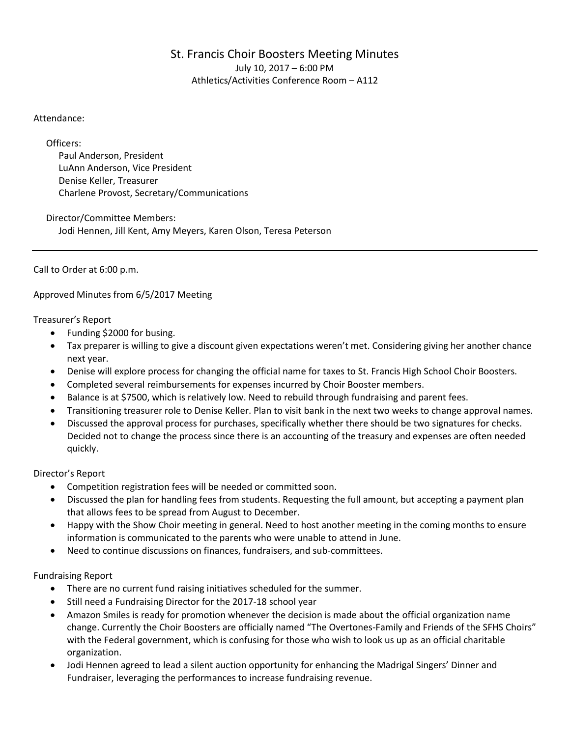# St. Francis Choir Boosters Meeting Minutes July 10, 2017 – 6:00 PM Athletics/Activities Conference Room – A112

# Attendance:

Officers:

Paul Anderson, President LuAnn Anderson, Vice President Denise Keller, Treasurer Charlene Provost, Secretary/Communications

Director/Committee Members: Jodi Hennen, Jill Kent, Amy Meyers, Karen Olson, Teresa Peterson

Call to Order at 6:00 p.m.

Approved Minutes from 6/5/2017 Meeting

Treasurer's Report

- Funding \$2000 for busing.
- Tax preparer is willing to give a discount given expectations weren't met. Considering giving her another chance next year.
- Denise will explore process for changing the official name for taxes to St. Francis High School Choir Boosters.
- Completed several reimbursements for expenses incurred by Choir Booster members.
- Balance is at \$7500, which is relatively low. Need to rebuild through fundraising and parent fees.
- Transitioning treasurer role to Denise Keller. Plan to visit bank in the next two weeks to change approval names.
- Discussed the approval process for purchases, specifically whether there should be two signatures for checks. Decided not to change the process since there is an accounting of the treasury and expenses are often needed quickly.

Director's Report

- Competition registration fees will be needed or committed soon.
- Discussed the plan for handling fees from students. Requesting the full amount, but accepting a payment plan that allows fees to be spread from August to December.
- Happy with the Show Choir meeting in general. Need to host another meeting in the coming months to ensure information is communicated to the parents who were unable to attend in June.
- Need to continue discussions on finances, fundraisers, and sub-committees.

Fundraising Report

- There are no current fund raising initiatives scheduled for the summer.
- Still need a Fundraising Director for the 2017-18 school year
- Amazon Smiles is ready for promotion whenever the decision is made about the official organization name change. Currently the Choir Boosters are officially named "The Overtones-Family and Friends of the SFHS Choirs" with the Federal government, which is confusing for those who wish to look us up as an official charitable organization.
- Jodi Hennen agreed to lead a silent auction opportunity for enhancing the Madrigal Singers' Dinner and Fundraiser, leveraging the performances to increase fundraising revenue.